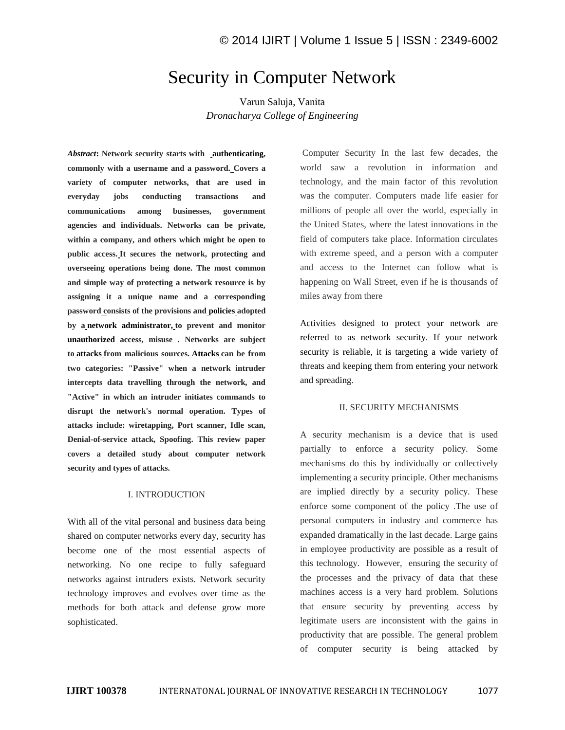# Security in Computer Network

Varun Saluja, Vanita *Dronacharya College of Engineering*

*Abstract***: Network security starts with authenticating, commonly with a username and a password. Covers a variety of computer networks, that are used in everyday jobs conducting transactions and communications among businesses, government agencies and individuals. Networks can be private, within a company, and others which might be open to public access. It secures the network, protecting and overseeing operations being done. The most common and simple way of protecting a network resource is by assigning it a unique name and a corresponding password consists of the provisions and policies adopted by a network administrator, to prevent and monitor unauthorized access, misuse . Networks are subject to attacks from malicious sources. Attacks can be from two categories: "Passive" when a network intruder intercepts data travelling through the network, and "Active" in which an intruder initiates commands to disrupt the network's normal operation. Types of attacks include: wiretapping, Port scanner, Idle scan, Denial-of-service attack, Spoofing. This review paper covers a detailed study about computer network security and types of attacks.**

#### I. INTRODUCTION

With all of the vital personal and business data being shared on computer networks every day, security has become one of the most essential aspects of networking. No one recipe to fully safeguard networks against intruders exists. Network security technology improves and evolves over time as the methods for both attack and defense grow more sophisticated.

Computer Security In the last few decades, the world saw a revolution in information and technology, and the main factor of this revolution was the computer. Computers made life easier for millions of people all over the world, especially in the United States, where the latest innovations in the field of computers take place. Information circulates with extreme speed, and a person with a computer and access to the Internet can follow what is happening on Wall Street, even if he is thousands of miles away from there

Activities designed to protect your network are referred to as network security. If your network security is reliable, it is targeting a wide variety of threats and keeping them from entering your network and spreading.

## II. SECURITY MECHANISMS

A security mechanism is a device that is used partially to enforce a security policy. Some mechanisms do this by individually or collectively implementing a security principle. Other mechanisms are implied directly by a security policy. These enforce some component of the policy .The use of personal computers in industry and commerce has expanded dramatically in the last decade. Large gains in employee productivity are possible as a result of this technology. However, ensuring the security of the processes and the privacy of data that these machines access is a very hard problem. Solutions that ensure security by preventing access by legitimate users are inconsistent with the gains in productivity that are possible. The general problem of computer security is being attacked by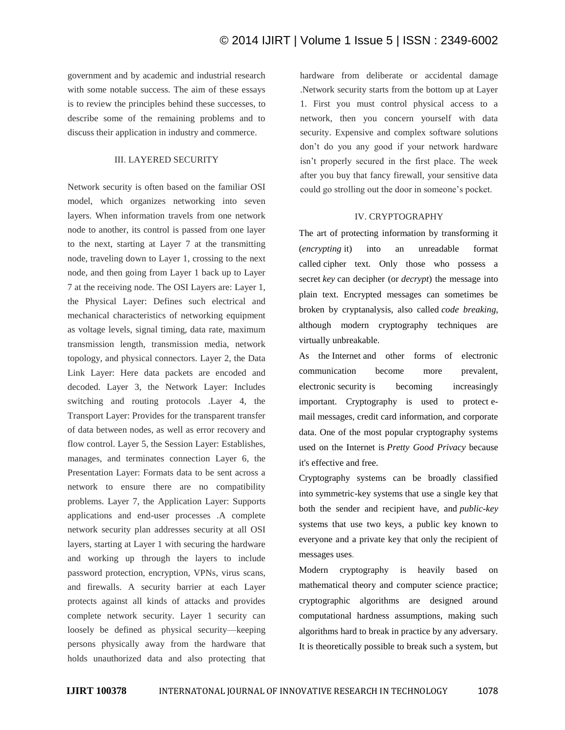government and by academic and industrial research with some notable success. The aim of these essays is to review the principles behind these successes, to describe some of the remaining problems and to discuss their application in industry and commerce.

# III. LAYERED SECURITY

Network security is often based on the familiar OSI model, which organizes networking into seven layers. When information travels from one network node to another, its control is passed from one layer to the next, starting at Layer 7 at the transmitting node, traveling down to Layer 1, crossing to the next node, and then going from Layer 1 back up to Layer 7 at the receiving node. The OSI Layers are: Layer 1, the Physical Layer: Defines such electrical and mechanical characteristics of networking equipment as voltage levels, signal timing, data rate, maximum transmission length, transmission media, network topology, and physical connectors. Layer 2, the Data Link Layer: Here data packets are encoded and decoded. Layer 3, the Network Layer: Includes switching and routing protocols .Layer 4, the Transport Layer: Provides for the transparent transfer of data between nodes, as well as error recovery and flow control. Layer 5, the Session Layer: Establishes, manages, and terminates connection Layer 6, the Presentation Layer: Formats data to be sent across a network to ensure there are no compatibility problems. Layer 7, the Application Layer: Supports applications and end-user processes .A complete network security plan addresses security at all OSI layers, starting at Layer 1 with securing the hardware and working up through the layers to include password protection, encryption, VPNs, virus scans, and firewalls. A security barrier at each Layer protects against all kinds of attacks and provides complete network security. Layer 1 security can loosely be defined as physical security—keeping persons physically away from the hardware that holds unauthorized data and also protecting that hardware from deliberate or accidental damage .Network security starts from the bottom up at Layer 1. First you must control physical access to a network, then you concern yourself with data security. Expensive and complex software solutions don't do you any good if your network hardware isn't properly secured in the first place. The week after you buy that fancy firewall, your sensitive data could go strolling out the door in someone's pocket.

#### IV. CRYPTOGRAPHY

The art of protecting information by transforming it (*[encrypting](http://www.webopedia.com/TERM/E/encryption.htm)* it) into an unreadable format called [cipher](http://www.webopedia.com/TERM/C/cipher_text.htm) text. Only those who possess a secret *key* can decipher (or *[decrypt](http://www.webopedia.com/TERM/D/decryption.htm)*) the message into [plain](http://www.webopedia.com/TERM/P/plain_text.htm) text. Encrypted messages can sometimes be broken by cryptanalysis, also called *code breaking*, although modern cryptography techniques are virtually unbreakable.

As the [Internet](http://www.webopedia.com/TERM/I/Internet.htm) and other forms of electronic communication become more prevalent, electronic [security](http://www.webopedia.com/TERM/S/security.htm) is becoming increasingly important. Cryptography is used to protect [e](http://www.webopedia.com/TERM/E/e_mail.htm)[mail](http://www.webopedia.com/TERM/E/e_mail.htm) messages, credit card information, and corporate data. One of the most popular cryptography systems used on the Internet is *Pretty Good [Privacy](http://www.webopedia.com/TERM/P/Pretty_Good_Privacy.htm)* because it's effective and free.

Cryptography systems can be broadly classified into [symmetric-key](http://www.webopedia.com/TERM/S/symmetric_key_cryptography.htm) systems that use a single key that both the sender and recipient have, and *[public-key](http://www.webopedia.com/TERM/P/public_key_cryptography.htm)* systems that use two keys, a public key known to everyone and a private key that only the recipient of messages uses.

Modern cryptography is heavily based on mathematical theory and computer science practice; cryptographic algorithms are designed around computational hardness assumptions, making such algorithms hard to break in practice by any adversary. It is theoretically possible to break such a system, but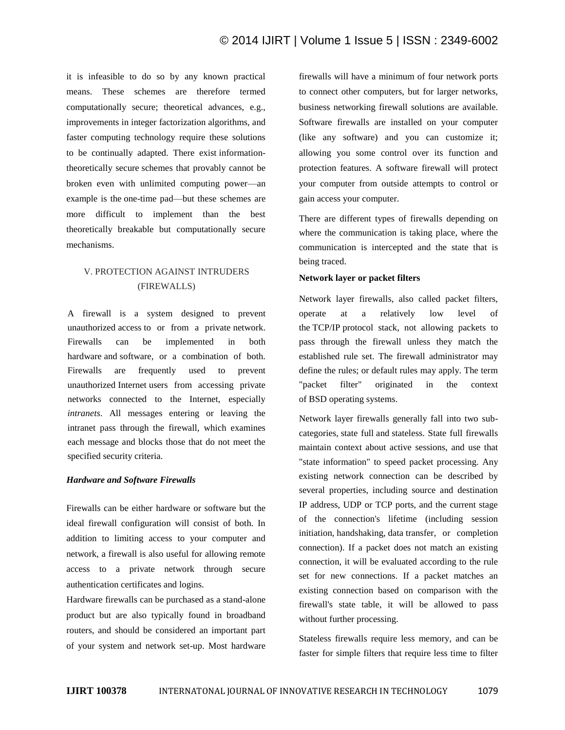it is infeasible to do so by any known practical means. These schemes are therefore termed computationally secure; theoretical advances, e.g., improvements in integer factorization algorithms, and faster computing technology require these solutions to be continually adapted. There exist informationtheoretically secure schemes that provably cannot be broken even with unlimited computing power—an example is the one-time pad—but these schemes are more difficult to implement than the best theoretically breakable but computationally secure mechanisms.

# V. PROTECTION AGAINST INTRUDERS (FIREWALLS)

A firewall is a system designed to prevent unauthorized [access](http://www.webopedia.com/TERM/A/access.html) to or from a private [network.](http://www.webopedia.com/TERM/N/network.html) Firewalls can be implemented in both [hardware](http://www.webopedia.com/TERM/H/hardware.html) and [software,](http://www.webopedia.com/TERM/S/software.html) or a combination of both. Firewalls are frequently used to prevent unauthorized [Internet](http://www.webopedia.com/TERM/I/Internet.html) users from accessing private networks connected to the Internet, especially *[intranets](http://www.webopedia.com/TERM/I/intranet.html)*. All messages entering or leaving the intranet pass through the firewall, which examines each message and blocks those that do not meet the specified [security](http://www.webopedia.com/TERM/S/security.html) criteria.

# *Hardware and Software Firewalls*

Firewalls can be either hardware or software but the ideal firewall configuration will consist of both. In addition to limiting access to your computer and network, a firewall is also useful for allowing remote access to a private network through secure authentication certificates and logins.

Hardware firewalls can be purchased as a stand-alone product but are also typically found in broadband routers, and should be considered an important part of your system and network set-up. Most hardware firewalls will have a minimum of four network ports to connect other computers, but for larger networks, business networking firewall solutions are available. Software firewalls are installed on your computer (like any software) and you can customize it; allowing you some control over its function and protection features. A software firewall will protect your computer from outside attempts to control or gain access your computer.

There are different types of firewalls depending on where the communication is taking place, where the communication is intercepted and the state that is being traced.

#### **Network layer or packet filters**

Network layer firewalls, also called packet filters, operate at a relatively low level of the TCP/IP protocol stack, not allowing packets to pass through the firewall unless they match the established rule set. The firewall administrator may define the rules; or default rules may apply. The term "packet filter" originated in the context of BSD operating systems.

Network layer firewalls generally fall into two subcategories, state full and stateless. State full firewalls maintain context about active sessions, and use that "state information" to speed packet processing. Any existing network connection can be described by several properties, including source and destination IP address, UDP or TCP ports, and the current stage of the connection's lifetime (including session initiation, handshaking, data transfer, or completion connection). If a packet does not match an existing connection, it will be evaluated according to the rule set for new connections. If a packet matches an existing connection based on comparison with the firewall's state table, it will be allowed to pass without further processing.

Stateless firewalls require less memory, and can be faster for simple filters that require less time to filter